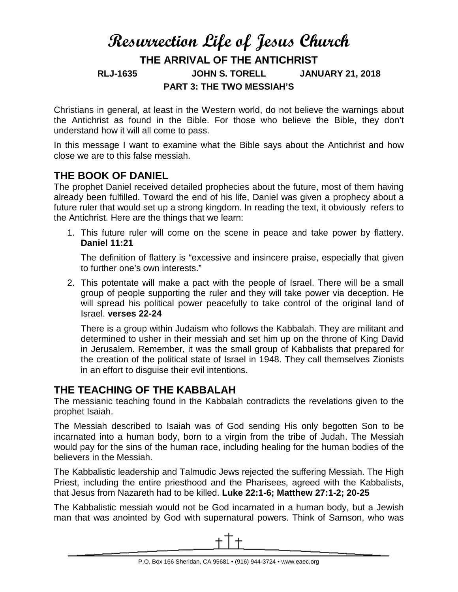# **Resurrection Life of Jesus Church THE ARRIVAL OF THE ANTICHRIST RLJ-1635 JOHN S. TORELL JANUARY 21, 2018 PART 3: THE TWO MESSIAH'S**

Christians in general, at least in the Western world, do not believe the warnings about the Antichrist as found in the Bible. For those who believe the Bible, they don't understand how it will all come to pass.

In this message I want to examine what the Bible says about the Antichrist and how close we are to this false messiah.

## **THE BOOK OF DANIEL**

The prophet Daniel received detailed prophecies about the future, most of them having already been fulfilled. Toward the end of his life, Daniel was given a prophecy about a future ruler that would set up a strong kingdom. In reading the text, it obviously refers to the Antichrist. Here are the things that we learn:

1. This future ruler will come on the scene in peace and take power by flattery. **Daniel 11:21**

The definition of flattery is "excessive and insincere praise, especially that given to further one's own interests."

2. This potentate will make a pact with the people of Israel. There will be a small group of people supporting the ruler and they will take power via deception. He will spread his political power peacefully to take control of the original land of Israel. **verses 22-24**

There is a group within Judaism who follows the Kabbalah. They are militant and determined to usher in their messiah and set him up on the throne of King David in Jerusalem. Remember, it was the small group of Kabbalists that prepared for the creation of the political state of Israel in 1948. They call themselves Zionists in an effort to disguise their evil intentions.

## **THE TEACHING OF THE KABBALAH**

The messianic teaching found in the Kabbalah contradicts the revelations given to the prophet Isaiah.

The Messiah described to Isaiah was of God sending His only begotten Son to be incarnated into a human body, born to a virgin from the tribe of Judah. The Messiah would pay for the sins of the human race, including healing for the human bodies of the believers in the Messiah.

The Kabbalistic leadership and Talmudic Jews rejected the suffering Messiah. The High Priest, including the entire priesthood and the Pharisees, agreed with the Kabbalists, that Jesus from Nazareth had to be killed. **Luke 22:1-6; Matthew 27:1-2; 20-25**

The Kabbalistic messiah would not be God incarnated in a human body, but a Jewish man that was anointed by God with supernatural powers. Think of Samson, who was

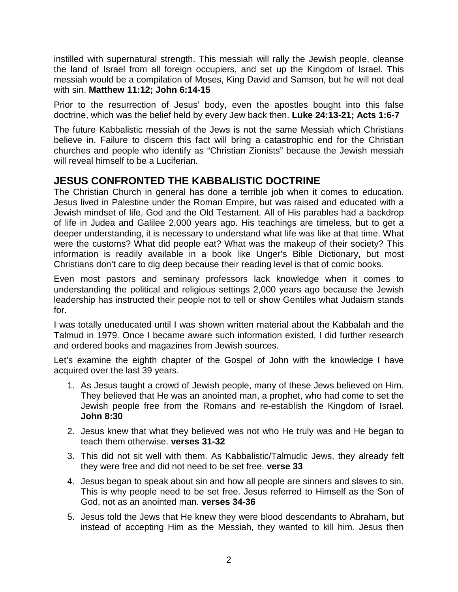instilled with supernatural strength. This messiah will rally the Jewish people, cleanse the land of Israel from all foreign occupiers, and set up the Kingdom of Israel. This messiah would be a compilation of Moses, King David and Samson, but he will not deal with sin. **Matthew 11:12; John 6:14-15**

Prior to the resurrection of Jesus' body, even the apostles bought into this false doctrine, which was the belief held by every Jew back then. **Luke 24:13-21; Acts 1:6-7**

The future Kabbalistic messiah of the Jews is not the same Messiah which Christians believe in. Failure to discern this fact will bring a catastrophic end for the Christian churches and people who identify as "Christian Zionists" because the Jewish messiah will reveal himself to be a Luciferian.

# **JESUS CONFRONTED THE KABBALISTIC DOCTRINE**

The Christian Church in general has done a terrible job when it comes to education. Jesus lived in Palestine under the Roman Empire, but was raised and educated with a Jewish mindset of life, God and the Old Testament. All of His parables had a backdrop of life in Judea and Galilee 2,000 years ago. His teachings are timeless, but to get a deeper understanding, it is necessary to understand what life was like at that time. What were the customs? What did people eat? What was the makeup of their society? This information is readily available in a book like Unger's Bible Dictionary, but most Christians don't care to dig deep because their reading level is that of comic books.

Even most pastors and seminary professors lack knowledge when it comes to understanding the political and religious settings 2,000 years ago because the Jewish leadership has instructed their people not to tell or show Gentiles what Judaism stands for.

I was totally uneducated until I was shown written material about the Kabbalah and the Talmud in 1979. Once I became aware such information existed, I did further research and ordered books and magazines from Jewish sources.

Let's examine the eighth chapter of the Gospel of John with the knowledge I have acquired over the last 39 years.

- 1. As Jesus taught a crowd of Jewish people, many of these Jews believed on Him. They believed that He was an anointed man, a prophet, who had come to set the Jewish people free from the Romans and re-establish the Kingdom of Israel. **John 8:30**
- 2. Jesus knew that what they believed was not who He truly was and He began to teach them otherwise. **verses 31-32**
- 3. This did not sit well with them. As Kabbalistic/Talmudic Jews, they already felt they were free and did not need to be set free. **verse 33**
- 4. Jesus began to speak about sin and how all people are sinners and slaves to sin. This is why people need to be set free. Jesus referred to Himself as the Son of God, not as an anointed man. **verses 34-36**
- 5. Jesus told the Jews that He knew they were blood descendants to Abraham, but instead of accepting Him as the Messiah, they wanted to kill him. Jesus then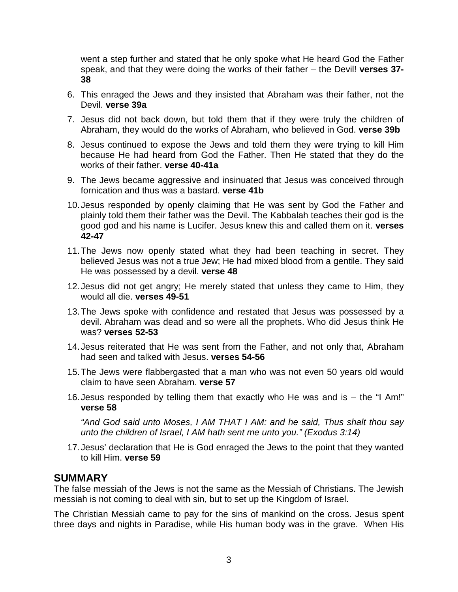went a step further and stated that he only spoke what He heard God the Father speak, and that they were doing the works of their father – the Devil! **verses 37- 38**

- 6. This enraged the Jews and they insisted that Abraham was their father, not the Devil. **verse 39a**
- 7. Jesus did not back down, but told them that if they were truly the children of Abraham, they would do the works of Abraham, who believed in God. **verse 39b**
- 8. Jesus continued to expose the Jews and told them they were trying to kill Him because He had heard from God the Father. Then He stated that they do the works of their father. **verse 40-41a**
- 9. The Jews became aggressive and insinuated that Jesus was conceived through fornication and thus was a bastard. **verse 41b**
- 10.Jesus responded by openly claiming that He was sent by God the Father and plainly told them their father was the Devil. The Kabbalah teaches their god is the good god and his name is Lucifer. Jesus knew this and called them on it. **verses 42-47**
- 11.The Jews now openly stated what they had been teaching in secret. They believed Jesus was not a true Jew; He had mixed blood from a gentile. They said He was possessed by a devil. **verse 48**
- 12.Jesus did not get angry; He merely stated that unless they came to Him, they would all die. **verses 49-51**
- 13.The Jews spoke with confidence and restated that Jesus was possessed by a devil. Abraham was dead and so were all the prophets. Who did Jesus think He was? **verses 52-53**
- 14.Jesus reiterated that He was sent from the Father, and not only that, Abraham had seen and talked with Jesus. **verses 54-56**
- 15.The Jews were flabbergasted that a man who was not even 50 years old would claim to have seen Abraham. **verse 57**
- 16.Jesus responded by telling them that exactly who He was and is the "I Am!" **verse 58**

*"And God said unto Moses, I AM THAT I AM: and he said, Thus shalt thou say unto the children of Israel, I AM hath sent me unto you." (Exodus 3:14)*

17.Jesus' declaration that He is God enraged the Jews to the point that they wanted to kill Him. **verse 59**

#### **SUMMARY**

The false messiah of the Jews is not the same as the Messiah of Christians. The Jewish messiah is not coming to deal with sin, but to set up the Kingdom of Israel.

The Christian Messiah came to pay for the sins of mankind on the cross. Jesus spent three days and nights in Paradise, while His human body was in the grave. When His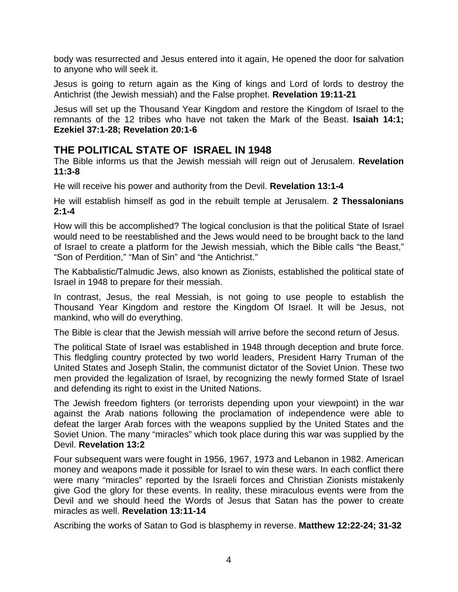body was resurrected and Jesus entered into it again, He opened the door for salvation to anyone who will seek it.

Jesus is going to return again as the King of kings and Lord of lords to destroy the Antichrist (the Jewish messiah) and the False prophet. **Revelation 19:11-21**

Jesus will set up the Thousand Year Kingdom and restore the Kingdom of Israel to the remnants of the 12 tribes who have not taken the Mark of the Beast. **Isaiah 14:1; Ezekiel 37:1-28; Revelation 20:1-6**

#### **THE POLITICAL STATE OF ISRAEL IN 1948**

The Bible informs us that the Jewish messiah will reign out of Jerusalem. **Revelation 11:3-8**

He will receive his power and authority from the Devil. **Revelation 13:1-4**

He will establish himself as god in the rebuilt temple at Jerusalem. **2 Thessalonians 2:1-4**

How will this be accomplished? The logical conclusion is that the political State of Israel would need to be reestablished and the Jews would need to be brought back to the land of Israel to create a platform for the Jewish messiah, which the Bible calls "the Beast," "Son of Perdition," "Man of Sin" and "the Antichrist."

The Kabbalistic/Talmudic Jews, also known as Zionists, established the political state of Israel in 1948 to prepare for their messiah.

In contrast, Jesus, the real Messiah, is not going to use people to establish the Thousand Year Kingdom and restore the Kingdom Of Israel. It will be Jesus, not mankind, who will do everything.

The Bible is clear that the Jewish messiah will arrive before the second return of Jesus.

The political State of Israel was established in 1948 through deception and brute force. This fledgling country protected by two world leaders, President Harry Truman of the United States and Joseph Stalin, the communist dictator of the Soviet Union. These two men provided the legalization of Israel, by recognizing the newly formed State of Israel and defending its right to exist in the United Nations.

The Jewish freedom fighters (or terrorists depending upon your viewpoint) in the war against the Arab nations following the proclamation of independence were able to defeat the larger Arab forces with the weapons supplied by the United States and the Soviet Union. The many "miracles" which took place during this war was supplied by the Devil. **Revelation 13:2**

Four subsequent wars were fought in 1956, 1967, 1973 and Lebanon in 1982. American money and weapons made it possible for Israel to win these wars. In each conflict there were many "miracles" reported by the Israeli forces and Christian Zionists mistakenly give God the glory for these events. In reality, these miraculous events were from the Devil and we should heed the Words of Jesus that Satan has the power to create miracles as well. **Revelation 13:11-14**

Ascribing the works of Satan to God is blasphemy in reverse. **Matthew 12:22-24; 31-32**